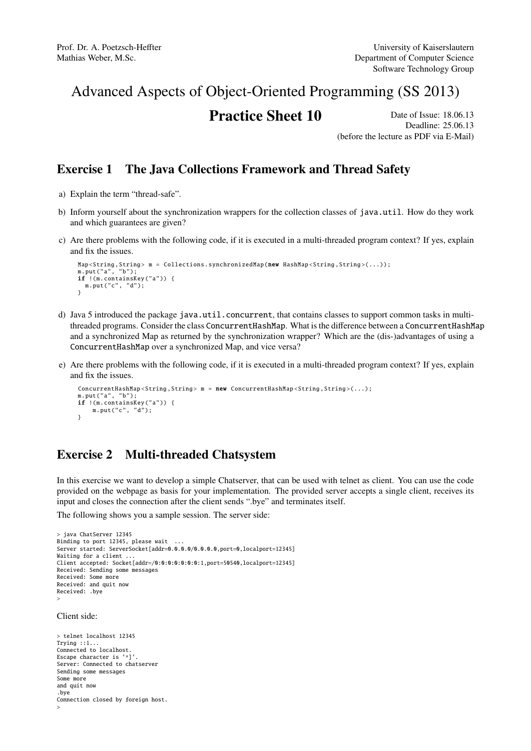## Advanced Aspects of Object-Oriented Programming (SS 2013)

# **Practice Sheet 10** Date of Issue: 18.06.13

Deadline: 25.06.13 (before the lecture as PDF via E-Mail)

### Exercise 1 The Java Collections Framework and Thread Safety

- a) Explain the term "thread-safe".
- b) Inform yourself about the synchronization wrappers for the collection classes of java.util. How do they work and which guarantees are given?
- c) Are there problems with the following code, if it is executed in a multi-threaded program context? If yes, explain and fix the issues.

```
Map<String, String> m = Collections.synchronizedMap(new HashMap<String, String>(...));
m.put("a", "b");
if !(m. containsKey ("a")) {
  m.put("c", "d");
}
```
- d) Java 5 introduced the package java.util.concurrent, that contains classes to support common tasks in multithreaded programs. Consider the class ConcurrentHashMap. What is the difference between a ConcurrentHashMap and a synchronized Map as returned by the synchronization wrapper? Which are the (dis-)advantages of using a ConcurrentHashMap over a synchronized Map, and vice versa?
- e) Are there problems with the following code, if it is executed in a multi-threaded program context? If yes, explain and fix the issues.

```
ConcurrentHashMap < String . String > m = new ConcurrentHashMap <String .(s...);m.put("a", "b");
if !(m. containsKey ("a")) {
    m.put("c", "d");
}
```
### Exercise 2 Multi-threaded Chatsystem

In this exercise we want to develop a simple Chatserver, that can be used with telnet as client. You can use the code provided on the webpage as basis for your implementation. The provided server accepts a single client, receives its input and closes the connection after the client sends ".bye" and terminates itself.

The following shows you a sample session. The server side:

```
> java ChatServer 12345
Binding to port 12345, please wait ...
Server started: ServerSocket[addr=0.0.0.0/0.0.0.0,port=0,localport=12345]
Waiting for a client
Client accepted: Socket[addr=/0:0:0:0:0:0:0:1,port=50540,localport=12345]
Received: Sending some messages
Received: Some more
Received: and quit now
Received: .bye
>
Client side:
```
> telnet localhost 12345 Trying ::1... Connected to localhost. Escape character is '^]'. Server: Connected to chatserver Sending some messages Some more and quit now .bye Connection closed by foreign host. >